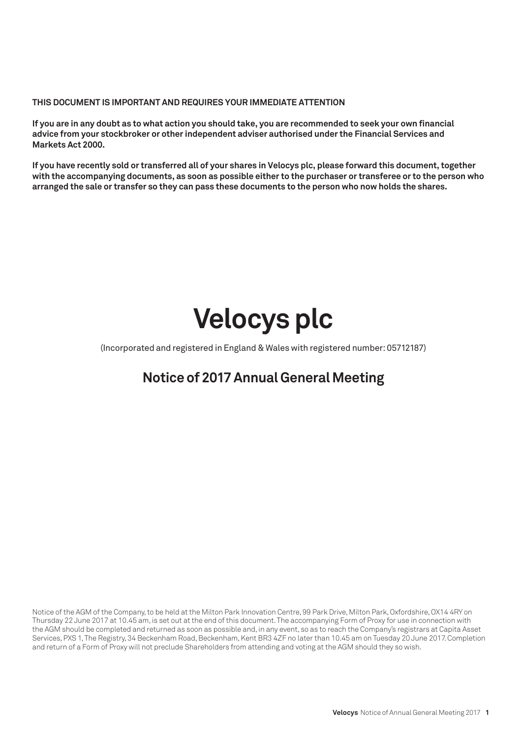### **THIS DOCUMENT IS IMPORTANT AND REQUIRES YOUR IMMEDIATE ATTENTION**

**If you are in any doubt as to what action you should take, you are recommended to seek your own financial advice from your stockbroker or other independent adviser authorised under the Financial Services and Markets Act 2000.**

**If you have recently sold or transferred all of your shares in Velocys plc, please forward this document, together with the accompanying documents, as soon as possible either to the purchaser or transferee or to the person who arranged the sale or transfer so they can pass these documents to the person who now holds the shares.**

# **Velocys plc**

(Incorporated and registered in England & Wales with registered number: 05712187)

## **Notice of 2017 Annual General Meeting**

Notice of the AGM of the Company, to be held at the Milton Park Innovation Centre, 99 Park Drive, Milton Park, Oxfordshire, OX14 4RY on Thursday 22 June 2017 at 10.45 am, is set out at the end of this document. The accompanying Form of Proxy for use in connection with the AGM should be completed and returned as soon as possible and, in any event, so as to reach the Company's registrars at Capita Asset Services, PXS 1, The Registry, 34 Beckenham Road, Beckenham, Kent BR3 4ZF no later than 10.45 am on Tuesday 20 June 2017. Completion and return of a Form of Proxy will not preclude Shareholders from attending and voting at the AGM should they so wish.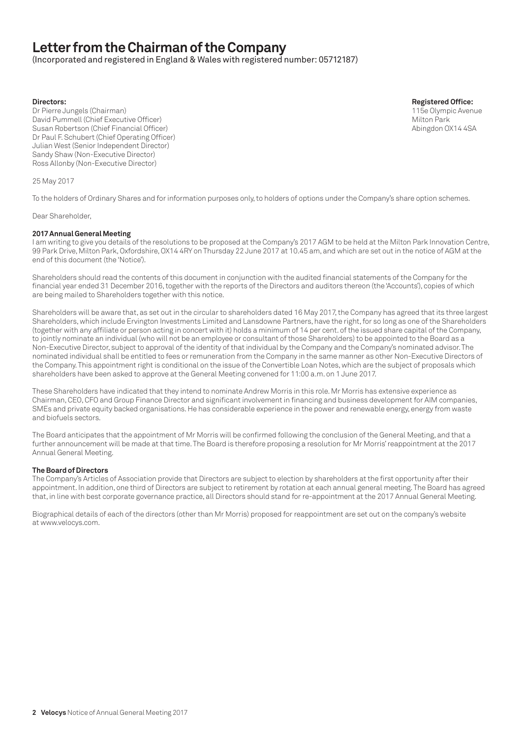## **Letter from the Chairman of the Company**

(Incorporated and registered in England & Wales with registered number: 05712187)

Dr Pierre Jungels (Chairman) David Pummell (Chief Executive Officer)<br>Susan Robertson (Chief Financial Officer) Milton Park (Susan Park Milton Park Milton Park Milton Park (Susan P Susan Robertson (Chief Financial Officer) Dr Paul F. Schubert (Chief Operating Officer) Julian West (Senior Independent Director) Sandy Shaw (Non-Executive Director) Ross Allonby (Non-Executive Director)

25 May 2017

To the holders of Ordinary Shares and for information purposes only, to holders of options under the Company's share option schemes.

#### Dear Shareholder,

#### **2017 Annual General Meeting**

I am writing to give you details of the resolutions to be proposed at the Company's 2017 AGM to be held at the Milton Park Innovation Centre, 99 Park Drive, Milton Park, Oxfordshire, OX14 4RY on Thursday 22 June 2017 at 10.45 am, and which are set out in the notice of AGM at the end of this document (the 'Notice').

Shareholders should read the contents of this document in conjunction with the audited financial statements of the Company for the financial year ended 31 December 2016, together with the reports of the Directors and auditors thereon (the 'Accounts'), copies of which are being mailed to Shareholders together with this notice.

Shareholders will be aware that, as set out in the circular to shareholders dated 16 May 2017, the Company has agreed that its three largest Shareholders, which include Ervington Investments Limited and Lansdowne Partners, have the right, for so long as one of the Shareholders (together with any affiliate or person acting in concert with it) holds a minimum of 14 per cent. of the issued share capital of the Company, to jointly nominate an individual (who will not be an employee or consultant of those Shareholders) to be appointed to the Board as a Non-Executive Director, subject to approval of the identity of that individual by the Company and the Company's nominated advisor. The nominated individual shall be entitled to fees or remuneration from the Company in the same manner as other Non-Executive Directors of the Company. This appointment right is conditional on the issue of the Convertible Loan Notes, which are the subject of proposals which shareholders have been asked to approve at the General Meeting convened for 11:00 a.m. on 1 June 2017.

These Shareholders have indicated that they intend to nominate Andrew Morris in this role. Mr Morris has extensive experience as Chairman, CEO, CFO and Group Finance Director and significant involvement in financing and business development for AIM companies, SMEs and private equity backed organisations. He has considerable experience in the power and renewable energy, energy from waste and biofuels sectors.

The Board anticipates that the appointment of Mr Morris will be confirmed following the conclusion of the General Meeting, and that a further announcement will be made at that time. The Board is therefore proposing a resolution for Mr Morris' reappointment at the 2017 Annual General Meeting.

#### **The Board of Directors**

The Company's Articles of Association provide that Directors are subject to election by shareholders at the first opportunity after their appointment. In addition, one third of Directors are subject to retirement by rotation at each annual general meeting. The Board has agreed that, in line with best corporate governance practice, all Directors should stand for re-appointment at the 2017 Annual General Meeting.

Biographical details of each of the directors (other than Mr Morris) proposed for reappointment are set out on the company's website at www.velocys.com.

**Directors: Registered Office:**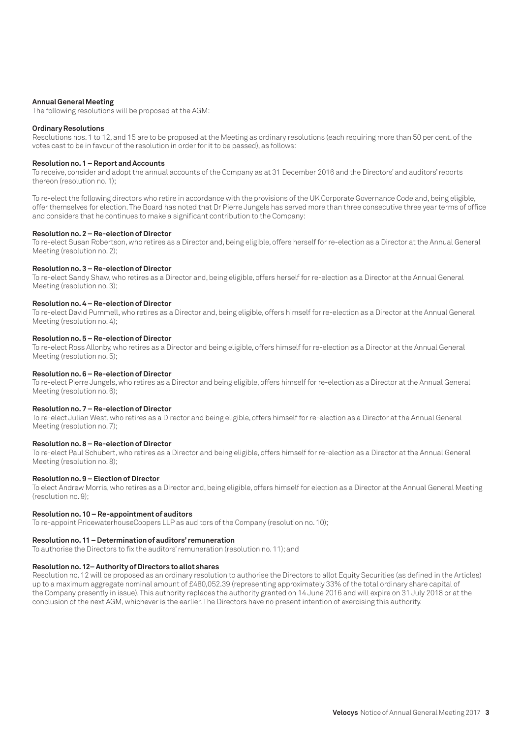#### **Annual General Meeting**

The following resolutions will be proposed at the AGM:

#### **Ordinary Resolutions**

Resolutions nos. 1 to 12, and 15 are to be proposed at the Meeting as ordinary resolutions (each requiring more than 50 per cent. of the votes cast to be in favour of the resolution in order for it to be passed), as follows:

#### **Resolution no. 1 – Report and Accounts**

To receive, consider and adopt the annual accounts of the Company as at 31 December 2016 and the Directors' and auditors' reports thereon (resolution no. 1);

To re-elect the following directors who retire in accordance with the provisions of the UK Corporate Governance Code and, being eligible, offer themselves for election. The Board has noted that Dr Pierre Jungels has served more than three consecutive three year terms of office and considers that he continues to make a significant contribution to the Company:

#### **Resolution no. 2 – Re-election of Director**

To re-elect Susan Robertson, who retires as a Director and, being eligible, offers herself for re-election as a Director at the Annual General Meeting (resolution no. 2);

#### **Resolution no. 3 – Re-election of Director**

To re-elect Sandy Shaw, who retires as a Director and, being eligible, offers herself for re-election as a Director at the Annual General Meeting (resolution no. 3);

#### **Resolution no. 4 – Re-election of Director**

To re-elect David Pummell, who retires as a Director and, being eligible, offers himself for re-election as a Director at the Annual General Meeting (resolution no. 4);

#### **Resolution no. 5 – Re-election of Director**

To re-elect Ross Allonby, who retires as a Director and being eligible, offers himself for re-election as a Director at the Annual General Meeting (resolution no. 5);

#### **Resolution no. 6 – Re-election of Director**

To re-elect Pierre Jungels, who retires as a Director and being eligible, offers himself for re-election as a Director at the Annual General Meeting (resolution no. 6);

#### **Resolution no. 7 – Re-election of Director**

To re-elect Julian West, who retires as a Director and being eligible, offers himself for re-election as a Director at the Annual General Meeting (resolution no. 7);

#### **Resolution no. 8 – Re-election of Director**

To re-elect Paul Schubert, who retires as a Director and being eligible, offers himself for re-election as a Director at the Annual General Meeting (resolution no. 8);

#### **Resolution no. 9 – Election of Director**

To elect Andrew Morris, who retires as a Director and, being eligible, offers himself for election as a Director at the Annual General Meeting (resolution no. 9);

#### **Resolution no. 10 – Re-appointment of auditors**

To re-appoint PricewaterhouseCoopers LLP as auditors of the Company (resolution no. 10);

#### **Resolution no. 11 – Determination of auditors' remuneration**

To authorise the Directors to fix the auditors' remuneration (resolution no. 11); and

#### **Resolution no. 12– Authority of Directors to allot shares**

Resolution no. 12 will be proposed as an ordinary resolution to authorise the Directors to allot Equity Securities (as defined in the Articles) up to a maximum aggregate nominal amount of £480,052.39 (representing approximately 33% of the total ordinary share capital of the Company presently in issue). This authority replaces the authority granted on 14 June 2016 and will expire on 31 July 2018 or at the conclusion of the next AGM, whichever is the earlier. The Directors have no present intention of exercising this authority.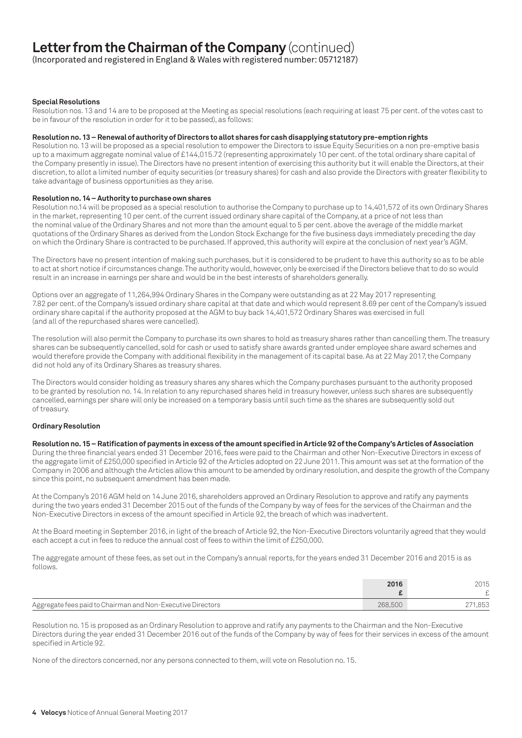## **Letter from the Chairman of the Company** (continued)

(Incorporated and registered in England & Wales with registered number: 05712187)

#### **Special Resolutions**

Resolution nos. 13 and 14 are to be proposed at the Meeting as special resolutions (each requiring at least 75 per cent. of the votes cast to be in favour of the resolution in order for it to be passed), as follows:

#### **Resolution no. 13 – Renewal of authority of Directors to allot shares for cash disapplying statutory pre-emption rights**

Resolution no. 13 will be proposed as a special resolution to empower the Directors to issue Equity Securities on a non pre-emptive basis up to a maximum aggregate nominal value of £144,015.72 (representing approximately 10 per cent. of the total ordinary share capital of the Company presently in issue). The Directors have no present intention of exercising this authority but it will enable the Directors, at their discretion, to allot a limited number of equity securities (or treasury shares) for cash and also provide the Directors with greater flexibility to take advantage of business opportunities as they arise.

#### **Resolution no. 14 – Authority to purchase own shares**

Resolution no.14 will be proposed as a special resolution to authorise the Company to purchase up to 14,401,572 of its own Ordinary Shares in the market, representing 10 per cent. of the current issued ordinary share capital of the Company, at a price of not less than the nominal value of the Ordinary Shares and not more than the amount equal to 5 per cent. above the average of the middle market quotations of the Ordinary Shares as derived from the London Stock Exchange for the five business days immediately preceding the day on which the Ordinary Share is contracted to be purchased. If approved, this authority will expire at the conclusion of next year's AGM.

The Directors have no present intention of making such purchases, but it is considered to be prudent to have this authority so as to be able to act at short notice if circumstances change. The authority would, however, only be exercised if the Directors believe that to do so would result in an increase in earnings per share and would be in the best interests of shareholders generally.

Options over an aggregate of 11,264,994 Ordinary Shares in the Company were outstanding as at 22 May 2017 representing 7.82 per cent. of the Company's issued ordinary share capital at that date and which would represent 8.69 per cent of the Company's issued ordinary share capital if the authority proposed at the AGM to buy back 14,401,572 Ordinary Shares was exercised in full (and all of the repurchased shares were cancelled).

The resolution will also permit the Company to purchase its own shares to hold as treasury shares rather than cancelling them. The treasury shares can be subsequently cancelled, sold for cash or used to satisfy share awards granted under employee share award schemes and would therefore provide the Company with additional flexibility in the management of its capital base. As at 22 May 2017, the Company did not hold any of its Ordinary Shares as treasury shares.

The Directors would consider holding as treasury shares any shares which the Company purchases pursuant to the authority proposed to be granted by resolution no. 14. In relation to any repurchased shares held in treasury however, unless such shares are subsequently cancelled, earnings per share will only be increased on a temporary basis until such time as the shares are subsequently sold out of treasury.

#### **Ordinary Resolution**

#### **Resolution no. 15 – Ratification of payments in excess of the amount specified in Article 92 of the Company's Articles of Association**

During the three financial years ended 31 December 2016, fees were paid to the Chairman and other Non-Executive Directors in excess of the aggregate limit of £250,000 specified in Article 92 of the Articles adopted on 22 June 2011. This amount was set at the formation of the Company in 2006 and although the Articles allow this amount to be amended by ordinary resolution, and despite the growth of the Company since this point, no subsequent amendment has been made.

At the Company's 2016 AGM held on 14 June 2016, shareholders approved an Ordinary Resolution to approve and ratify any payments during the two years ended 31 December 2015 out of the funds of the Company by way of fees for the services of the Chairman and the Non-Executive Directors in excess of the amount specified in Article 92, the breach of which was inadvertent.

At the Board meeting in September 2016, in light of the breach of Article 92, the Non-Executive Directors voluntarily agreed that they would each accept a cut in fees to reduce the annual cost of fees to within the limit of £250,000.

The aggregate amount of these fees, as set out in the Company's annual reports, for the years ended 31 December 2016 and 2015 is as follows.

|                                                             | 2016    | 2015    |
|-------------------------------------------------------------|---------|---------|
|                                                             |         |         |
| Aggregate fees paid to Chairman and Non-Executive Directors | 268,500 | 271,853 |

Resolution no. 15 is proposed as an Ordinary Resolution to approve and ratify any payments to the Chairman and the Non-Executive Directors during the year ended 31 December 2016 out of the funds of the Company by way of fees for their services in excess of the amount specified in Article 92.

None of the directors concerned, nor any persons connected to them, will vote on Resolution no. 15.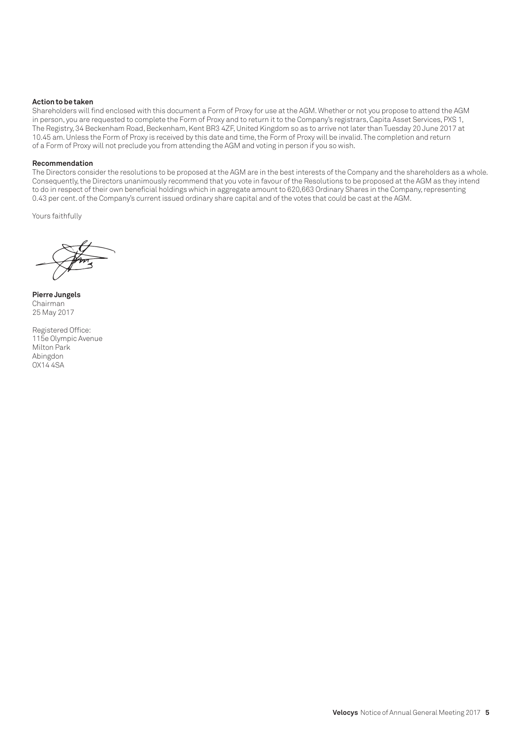#### **Action to be taken**

Shareholders will find enclosed with this document a Form of Proxy for use at the AGM. Whether or not you propose to attend the AGM in person, you are requested to complete the Form of Proxy and to return it to the Company's registrars, Capita Asset Services, PXS 1, The Registry, 34 Beckenham Road, Beckenham, Kent BR3 4ZF, United Kingdom so as to arrive not later than Tuesday 20 June 2017 at 10.45 am. Unless the Form of Proxy is received by this date and time, the Form of Proxy will be invalid. The completion and return of a Form of Proxy will not preclude you from attending the AGM and voting in person if you so wish.

#### **Recommendation**

The Directors consider the resolutions to be proposed at the AGM are in the best interests of the Company and the shareholders as a whole. Consequently, the Directors unanimously recommend that you vote in favour of the Resolutions to be proposed at the AGM as they intend to do in respect of their own beneficial holdings which in aggregate amount to 620,663 Ordinary Shares in the Company, representing 0.43 per cent. of the Company's current issued ordinary share capital and of the votes that could be cast at the AGM.

Yours faithfully

**Pierre Jungels** Chairman 25 May 2017

Registered Office: 115e Olympic Avenue Milton Park Abingdon OX14 4SA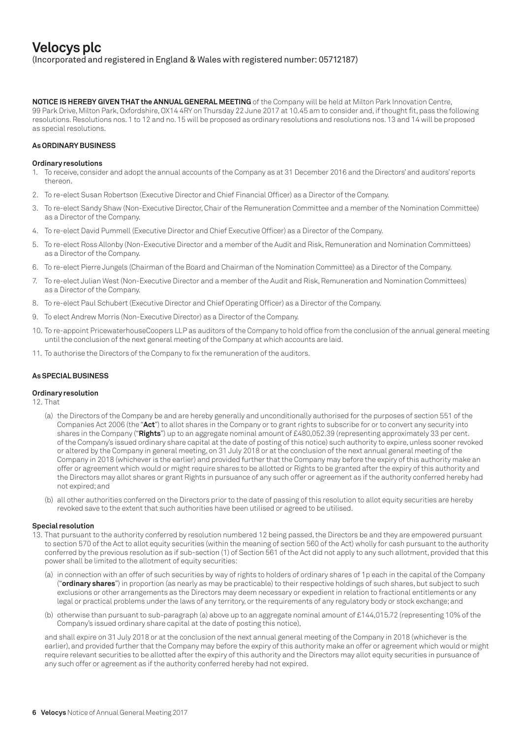**NOTICE IS HEREBY GIVEN THAT the ANNUAL GENERAL MEETING** of the Company will be held at Milton Park Innovation Centre, 99 Park Drive, Milton Park, Oxfordshire, OX14 4RY on Thursday 22 June 2017 at 10.45 am to consider and, if thought fit, pass the following resolutions. Resolutions nos. 1 to 12 and no. 15 will be proposed as ordinary resolutions and resolutions nos. 13 and 14 will be proposed as special resolutions.

#### **As ORDINARY BUSINESS**

#### **Ordinary resolutions**

- 1. To receive, consider and adopt the annual accounts of the Company as at 31 December 2016 and the Directors' and auditors' reports thereon.
- 2. To re-elect Susan Robertson (Executive Director and Chief Financial Officer) as a Director of the Company.
- 3. To re-elect Sandy Shaw (Non-Executive Director, Chair of the Remuneration Committee and a member of the Nomination Committee) as a Director of the Company.
- 4. To re-elect David Pummell (Executive Director and Chief Executive Officer) as a Director of the Company.
- 5. To re-elect Ross Allonby (Non-Executive Director and a member of the Audit and Risk, Remuneration and Nomination Committees) as a Director of the Company.
- 6. To re-elect Pierre Jungels (Chairman of the Board and Chairman of the Nomination Committee) as a Director of the Company.
- 7. To re-elect Julian West (Non-Executive Director and a member of the Audit and Risk, Remuneration and Nomination Committees) as a Director of the Company.
- 8. To re-elect Paul Schubert (Executive Director and Chief Operating Officer) as a Director of the Company.
- 9. To elect Andrew Morris (Non-Executive Director) as a Director of the Company.
- 10. To re-appoint PricewaterhouseCoopers LLP as auditors of the Company to hold office from the conclusion of the annual general meeting until the conclusion of the next general meeting of the Company at which accounts are laid.
- 11. To authorise the Directors of the Company to fix the remuneration of the auditors.

#### **As SPECIAL BUSINESS**

#### **Ordinary resolution**

12. That

- (a) the Directors of the Company be and are hereby generally and unconditionally authorised for the purposes of section 551 of the Companies Act 2006 (the "**Act**") to allot shares in the Company or to grant rights to subscribe for or to convert any security into shares in the Company ("**Rights**") up to an aggregate nominal amount of £480,052.39 (representing approximately 33 per cent. of the Company's issued ordinary share capital at the date of posting of this notice) such authority to expire, unless sooner revoked or altered by the Company in general meeting, on 31 July 2018 or at the conclusion of the next annual general meeting of the Company in 2018 (whichever is the earlier) and provided further that the Company may before the expiry of this authority make an offer or agreement which would or might require shares to be allotted or Rights to be granted after the expiry of this authority and the Directors may allot shares or grant Rights in pursuance of any such offer or agreement as if the authority conferred hereby had not expired; and
- (b) all other authorities conferred on the Directors prior to the date of passing of this resolution to allot equity securities are hereby revoked save to the extent that such authorities have been utilised or agreed to be utilised.

#### **Special resolution**

- 13. That pursuant to the authority conferred by resolution numbered 12 being passed, the Directors be and they are empowered pursuant to section 570 of the Act to allot equity securities (within the meaning of section 560 of the Act) wholly for cash pursuant to the authority conferred by the previous resolution as if sub-section (1) of Section 561 of the Act did not apply to any such allotment, provided that this power shall be limited to the allotment of equity securities:
	- (a) in connection with an offer of such securities by way of rights to holders of ordinary shares of 1p each in the capital of the Company ("**ordinary shares**") in proportion (as nearly as may be practicable) to their respective holdings of such shares, but subject to such exclusions or other arrangements as the Directors may deem necessary or expedient in relation to fractional entitlements or any legal or practical problems under the laws of any territory, or the requirements of any regulatory body or stock exchange; and
	- (b) otherwise than pursuant to sub-paragraph (a) above up to an aggregate nominal amount of £144,015.72 (representing 10% of the Company's issued ordinary share capital at the date of posting this notice),

and shall expire on 31 July 2018 or at the conclusion of the next annual general meeting of the Company in 2018 (whichever is the earlier), and provided further that the Company may before the expiry of this authority make an offer or agreement which would or might require relevant securities to be allotted after the expiry of this authority and the Directors may allot equity securities in pursuance of any such offer or agreement as if the authority conferred hereby had not expired.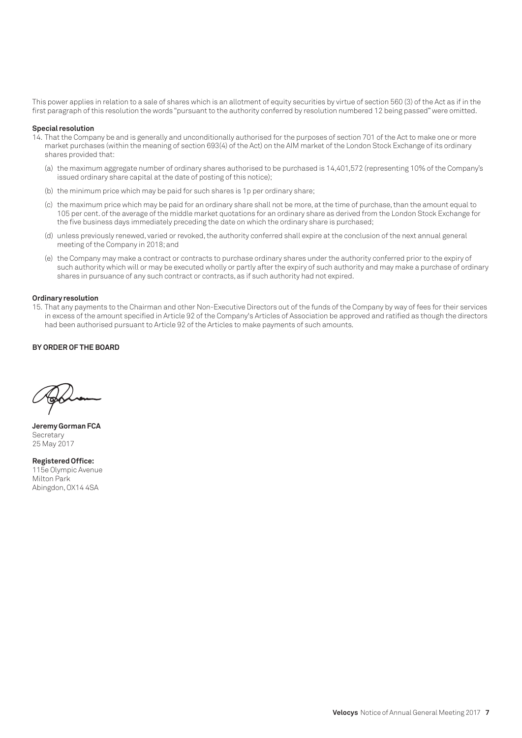This power applies in relation to a sale of shares which is an allotment of equity securities by virtue of section 560 (3) of the Act as if in the first paragraph of this resolution the words "pursuant to the authority conferred by resolution numbered 12 being passed" were omitted.

#### **Special resolution**

- 14. That the Company be and is generally and unconditionally authorised for the purposes of section 701 of the Act to make one or more market purchases (within the meaning of section 693(4) of the Act) on the AIM market of the London Stock Exchange of its ordinary shares provided that:
	- (a) the maximum aggregate number of ordinary shares authorised to be purchased is 14,401,572 (representing 10% of the Company's issued ordinary share capital at the date of posting of this notice);
	- (b) the minimum price which may be paid for such shares is 1p per ordinary share;
	- (c) the maximum price which may be paid for an ordinary share shall not be more, at the time of purchase, than the amount equal to 105 per cent. of the average of the middle market quotations for an ordinary share as derived from the London Stock Exchange for the five business days immediately preceding the date on which the ordinary share is purchased;
	- (d) unless previously renewed, varied or revoked, the authority conferred shall expire at the conclusion of the next annual general meeting of the Company in 2018; and
	- (e) the Company may make a contract or contracts to purchase ordinary shares under the authority conferred prior to the expiry of such authority which will or may be executed wholly or partly after the expiry of such authority and may make a purchase of ordinary shares in pursuance of any such contract or contracts, as if such authority had not expired.

#### **Ordinary resolution**

15. That any payments to the Chairman and other Non-Executive Directors out of the funds of the Company by way of fees for their services in excess of the amount specified in Article 92 of the Company's Articles of Association be approved and ratified as though the directors had been authorised pursuant to Article 92 of the Articles to make payments of such amounts.

#### **BY ORDER OF THE BOARD**

**Jeremy Gorman FCA Secretary** 25 May 2017

**Registered Office:**  115e Olympic Avenue Milton Park Abingdon, OX14 4SA